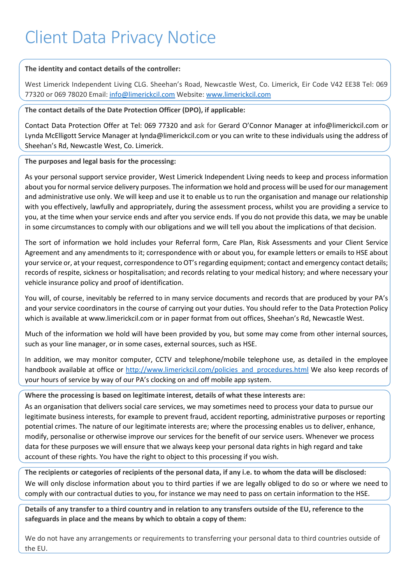## **The identity and contact details of the controller:**

West Limerick Independent Living CLG. Sheehan's Road, Newcastle West, Co. Limerick, Eir Code V42 EE38 Tel: 069 77320 or 069 78020 Email: [info@limerickcil.com](mailto:info@limerickcil.com) Website: [www.limerickcil.com](http://www.limerickcil.com/)

**The contact details of the Date Protection Officer (DPO), if applicable:** 

Contact Data Protection Offer at Tel: 069 77320 and ask for Gerard O'Connor Manager at info@limerickcil.com or Lynda McElligott Service Manager at lynda@limerickcil.com or you can write to these individuals using the address of Sheehan's Rd, Newcastle West, Co. Limerick.

**The purposes and legal basis for the processing:** 

As your personal support service provider, West Limerick Independent Living needs to keep and process information about you for normal service delivery purposes. The information we hold and process will be used for our management and administrative use only. We will keep and use it to enable us to run the organisation and manage our relationship with you effectively, lawfully and appropriately, during the assessment process, whilst you are providing a service to you, at the time when your service ends and after you service ends. If you do not provide this data, we may be unable in some circumstances to comply with our obligations and we will tell you about the implications of that decision.

The sort of information we hold includes your Referral form, Care Plan, Risk Assessments and your Client Service Agreement and any amendments to it; correspondence with or about you, for example letters or emails to HSE about your service or, at your request, correspondence to OT's regarding equipment; contact and emergency contact details; records of respite, sickness or hospitalisation; and records relating to your medical history; and where necessary your vehicle insurance policy and proof of identification.

You will, of course, inevitably be referred to in many service documents and records that are produced by your PA's and your service coordinators in the course of carrying out your duties. You should refer to the Data Protection Policy which is available at www.limerickcil.com or in paper format from out offices, Sheehan's Rd, Newcastle West.

Much of the information we hold will have been provided by you, but some may come from other internal sources, such as your line manager, or in some cases, external sources, such as HSE.

In addition, we may monitor computer, CCTV and telephone/mobile telephone use, as detailed in the employee handbook available at office or http://www.limerickcil.com/policies and procedures.html We also keep records of your hours of service by way of our PA's clocking on and off mobile app system.

**Where the processing is based on legitimate interest, details of what these interests are:**

As an organisation that delivers social care services, we may sometimes need to process your data to pursue our legitimate business interests, for example to prevent fraud, accident reporting, administrative purposes or reporting potential crimes. The nature of our legitimate interests are; where the processing enables us to deliver, enhance, modify, personalise or otherwise improve our services for the benefit of our service users. Whenever we process data for these purposes we will ensure that we always keep your personal data rights in high regard and take account of these rights. You have the right to object to this processing if you wish.

**The recipients or categories of recipients of the personal data, if any i.e. to whom the data will be disclosed:** We will only disclose information about you to third parties if we are legally obliged to do so or where we need to comply with our contractual duties to you, for instance we may need to pass on certain information to the HSE.

**Details of any transfer to a third country and in relation to any transfers outside of the EU, reference to the safeguards in place and the means by which to obtain a copy of them:**

We do not have any arrangements or requirements to transferring your personal data to third countries outside of the EU.